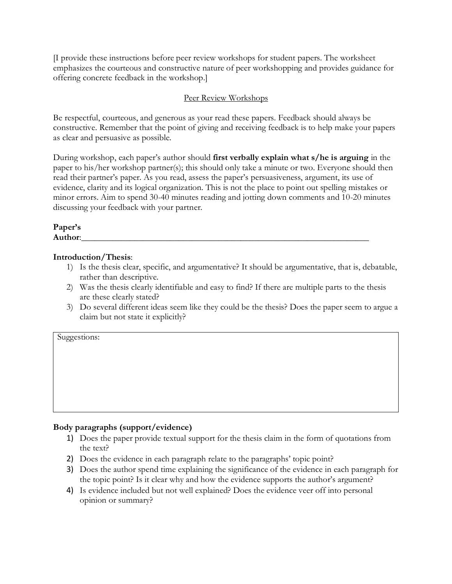[I provide these instructions before peer review workshops for student papers. The worksheet emphasizes the courteous and constructive nature of peer workshopping and provides guidance for offering concrete feedback in the workshop.]

## Peer Review Workshops

Be respectful, courteous, and generous as your read these papers. Feedback should always be constructive. Remember that the point of giving and receiving feedback is to help make your papers as clear and persuasive as possible.

During workshop, each paper's author should **first verbally explain what s/he is arguing** in the paper to his/her workshop partner(s); this should only take a minute or two. Everyone should then read their partner's paper. As you read, assess the paper's persuasiveness, argument, its use of evidence, clarity and its logical organization. This is not the place to point out spelling mistakes or minor errors. Aim to spend 30-40 minutes reading and jotting down comments and 10-20 minutes discussing your feedback with your partner.

## **Paper's Author**:\_\_\_\_\_\_\_\_\_\_\_\_\_\_\_\_\_\_\_\_\_\_\_\_\_\_\_\_\_\_\_\_\_\_\_\_\_\_\_\_\_\_\_\_\_\_\_\_\_\_\_\_\_\_\_\_\_\_\_\_\_\_\_\_\_

## **Introduction/Thesis**:

- 1) Is the thesis clear, specific, and argumentative? It should be argumentative, that is, debatable, rather than descriptive.
- 2) Was the thesis clearly identifiable and easy to find? If there are multiple parts to the thesis are these clearly stated?
- 3) Do several different ideas seem like they could be the thesis? Does the paper seem to argue a claim but not state it explicitly?

Suggestions:

# **Body paragraphs (support/evidence)**

- 1) Does the paper provide textual support for the thesis claim in the form of quotations from the text?
- 2) Does the evidence in each paragraph relate to the paragraphs' topic point?
- 3) Does the author spend time explaining the significance of the evidence in each paragraph for the topic point? Is it clear why and how the evidence supports the author's argument?
- 4) Is evidence included but not well explained? Does the evidence veer off into personal opinion or summary?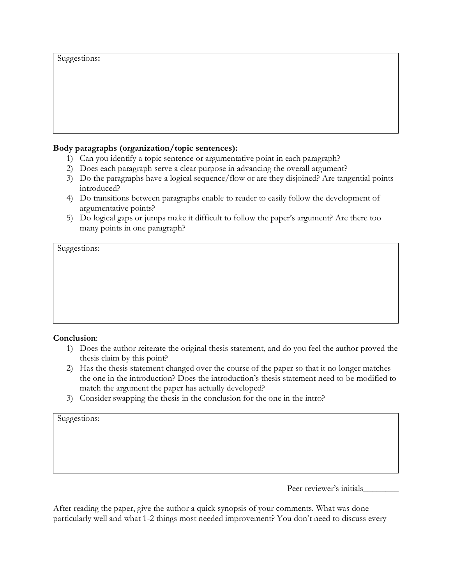Suggestions**:**

### **Body paragraphs (organization/topic sentences):**

- 1) Can you identify a topic sentence or argumentative point in each paragraph?
- 2) Does each paragraph serve a clear purpose in advancing the overall argument?
- 3) Do the paragraphs have a logical sequence/flow or are they disjoined? Are tangential points introduced?
- 4) Do transitions between paragraphs enable to reader to easily follow the development of argumentative points?
- 5) Do logical gaps or jumps make it difficult to follow the paper's argument? Are there too many points in one paragraph?

Suggestions:

### **Conclusion**:

- 1) Does the author reiterate the original thesis statement, and do you feel the author proved the thesis claim by this point?
- 2) Has the thesis statement changed over the course of the paper so that it no longer matches the one in the introduction? Does the introduction's thesis statement need to be modified to match the argument the paper has actually developed?
- 3) Consider swapping the thesis in the conclusion for the one in the intro?

Suggestions:

Peer reviewer's initials

After reading the paper, give the author a quick synopsis of your comments. What was done particularly well and what 1-2 things most needed improvement? You don't need to discuss every